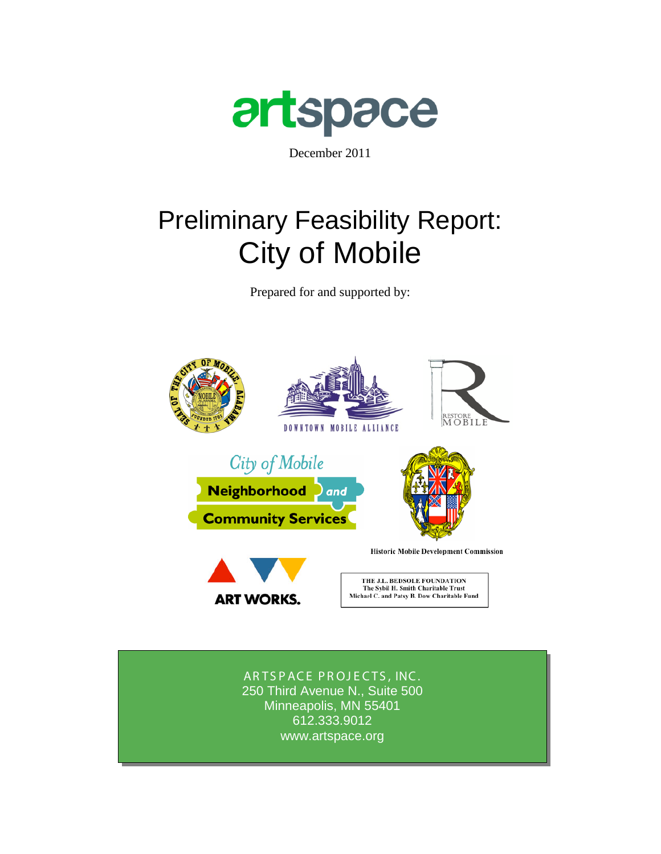

December 2011

# Preliminary Feasibility Report: City of Mobile

Prepared for and supported by:



250 Third Avenue N., Suite 500 www.artspace.org ARTSPACE PROJECTS, INC. Minneapolis, MN 55401 612.333.9012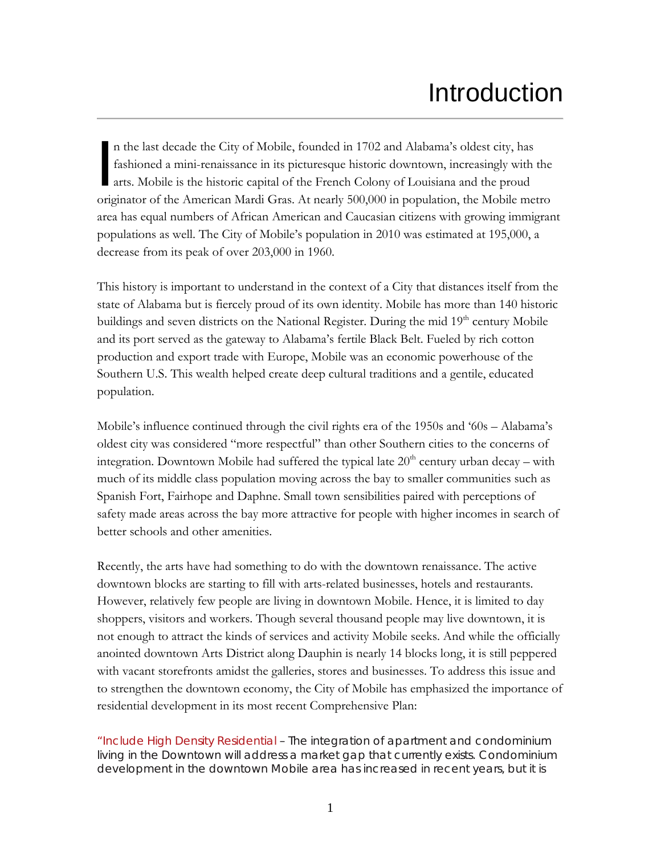# Introduction

n the last decade the City of Mobile, founded in 1702 and Alabama's oldest city, has fashioned a mini-renaissance in its picturesque historic downtown, increasingly with the arts. Mobile is the historic capital of the French Colony of Louisiana and the proud n the last decade the City of Mobile, founded in 1702 and Alabama's oldest city, has<br>fashioned a mini-renaissance in its picturesque historic downtown, increasingly with the<br>arts. Mobile is the historic capital of the Fren area has equal numbers of African American and Caucasian citizens with growing immigrant populations as well. The City of Mobile's population in 2010 was estimated at 195,000, a decrease from its peak of over 203,000 in 1960.

This history is important to understand in the context of a City that distances itself from the state of Alabama but is fiercely proud of its own identity. Mobile has more than 140 historic buildings and seven districts on the National Register. During the mid 19<sup>th</sup> century Mobile and its port served as the gateway to Alabama's fertile Black Belt. Fueled by rich cotton production and export trade with Europe, Mobile was an economic powerhouse of the Southern U.S. This wealth helped create deep cultural traditions and a gentile, educated population.

Mobile's influence continued through the civil rights era of the 1950s and '60s – Alabama's oldest city was considered "more respectful" than other Southern cities to the concerns of integration. Downtown Mobile had suffered the typical late  $20<sup>th</sup>$  century urban decay – with much of its middle class population moving across the bay to smaller communities such as Spanish Fort, Fairhope and Daphne. Small town sensibilities paired with perceptions of safety made areas across the bay more attractive for people with higher incomes in search of better schools and other amenities.

Recently, the arts have had something to do with the downtown renaissance. The active downtown blocks are starting to fill with arts-related businesses, hotels and restaurants. However, relatively few people are living in downtown Mobile. Hence, it is limited to day shoppers, visitors and workers. Though several thousand people may live downtown, it is not enough to attract the kinds of services and activity Mobile seeks. And while the officially anointed downtown Arts District along Dauphin is nearly 14 blocks long, it is still peppered with vacant storefronts amidst the galleries, stores and businesses. To address this issue and to strengthen the downtown economy, the City of Mobile has emphasized the importance of residential development in its most recent Comprehensive Plan:

"Include High Density Residential – The integration of apartment and condominium living in the Downtown will address a market gap that currently exists. Condominium development in the downtown Mobile area has increased in recent years, but it is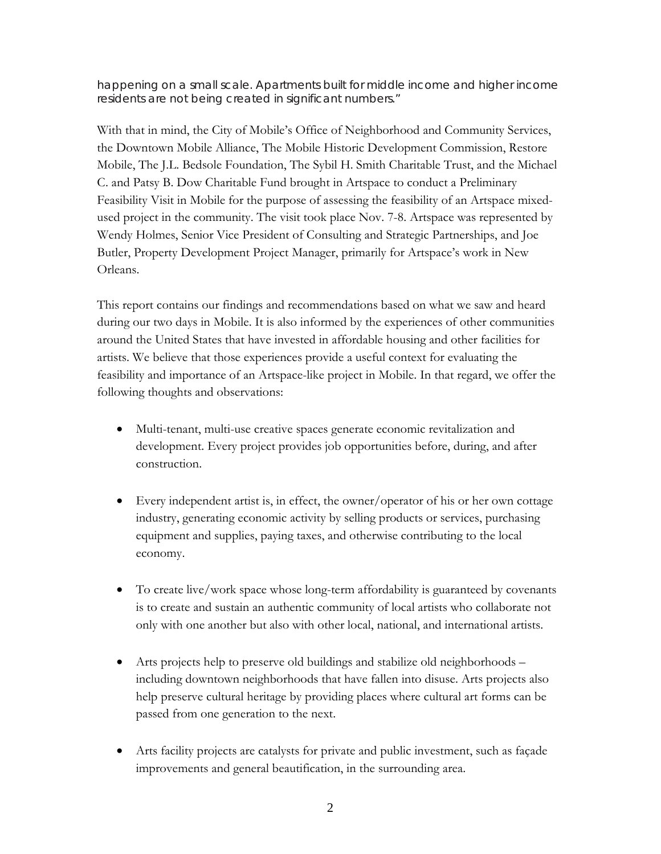happening on a small scale. Apartments built for middle income and higher income residents are not being created in significant numbers."

With that in mind, the City of Mobile's Office of Neighborhood and Community Services, the Downtown Mobile Alliance, The Mobile Historic Development Commission, Restore Mobile, The J.L. Bedsole Foundation, The Sybil H. Smith Charitable Trust, and the Michael C. and Patsy B. Dow Charitable Fund brought in Artspace to conduct a Preliminary Feasibility Visit in Mobile for the purpose of assessing the feasibility of an Artspace mixedused project in the community. The visit took place Nov. 7-8. Artspace was represented by Wendy Holmes, Senior Vice President of Consulting and Strategic Partnerships, and Joe Butler, Property Development Project Manager, primarily for Artspace's work in New Orleans.

This report contains our findings and recommendations based on what we saw and heard during our two days in Mobile. It is also informed by the experiences of other communities around the United States that have invested in affordable housing and other facilities for artists. We believe that those experiences provide a useful context for evaluating the feasibility and importance of an Artspace-like project in Mobile. In that regard, we offer the following thoughts and observations:

- Multi-tenant, multi-use creative spaces generate economic revitalization and development. Every project provides job opportunities before, during, and after construction.
- Every independent artist is, in effect, the owner/operator of his or her own cottage industry, generating economic activity by selling products or services, purchasing equipment and supplies, paying taxes, and otherwise contributing to the local economy.
- To create live/work space whose long-term affordability is guaranteed by covenants is to create and sustain an authentic community of local artists who collaborate not only with one another but also with other local, national, and international artists.
- Arts projects help to preserve old buildings and stabilize old neighborhoods including downtown neighborhoods that have fallen into disuse. Arts projects also help preserve cultural heritage by providing places where cultural art forms can be passed from one generation to the next.
- Arts facility projects are catalysts for private and public investment, such as façade improvements and general beautification, in the surrounding area.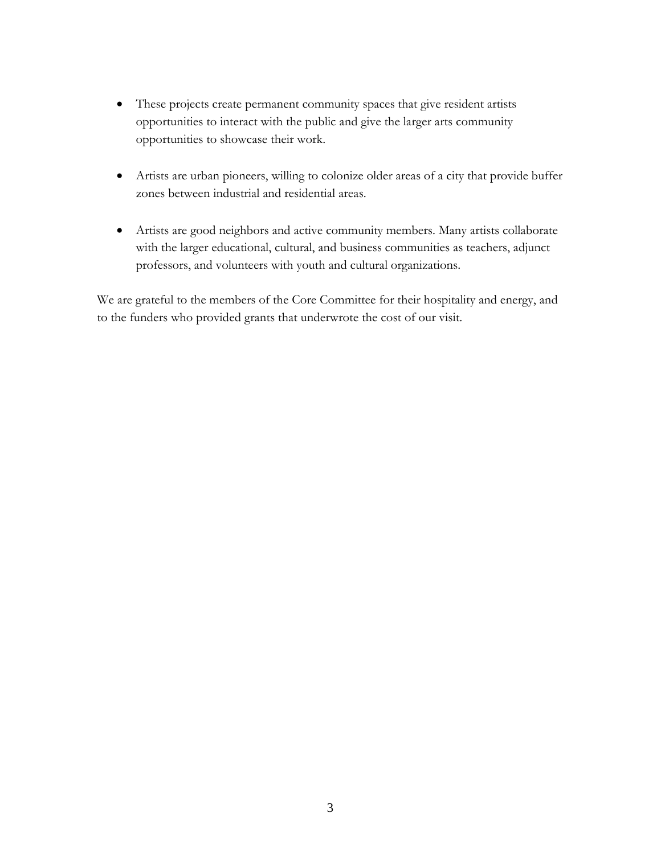- These projects create permanent community spaces that give resident artists opportunities to interact with the public and give the larger arts community opportunities to showcase their work.
- Artists are urban pioneers, willing to colonize older areas of a city that provide buffer zones between industrial and residential areas.
- Artists are good neighbors and active community members. Many artists collaborate with the larger educational, cultural, and business communities as teachers, adjunct professors, and volunteers with youth and cultural organizations.

We are grateful to the members of the Core Committee for their hospitality and energy, and to the funders who provided grants that underwrote the cost of our visit.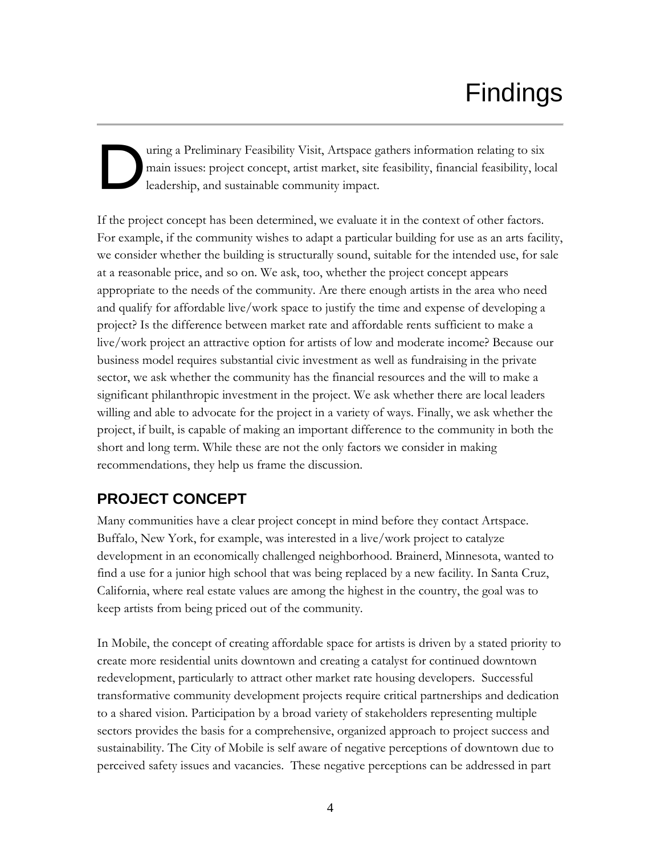# Findings

### uring a Preliminary Feasibility Visit, Artspace gathers information relating to six main issues: project concept, artist market, site feasibility, financial feasibility, local leadership, and sustainable community impact. D

If the project concept has been determined, we evaluate it in the context of other factors. For example, if the community wishes to adapt a particular building for use as an arts facility, we consider whether the building is structurally sound, suitable for the intended use, for sale at a reasonable price, and so on. We ask, too, whether the project concept appears appropriate to the needs of the community. Are there enough artists in the area who need and qualify for affordable live/work space to justify the time and expense of developing a project? Is the difference between market rate and affordable rents sufficient to make a live/work project an attractive option for artists of low and moderate income? Because our business model requires substantial civic investment as well as fundraising in the private sector, we ask whether the community has the financial resources and the will to make a significant philanthropic investment in the project. We ask whether there are local leaders willing and able to advocate for the project in a variety of ways. Finally, we ask whether the project, if built, is capable of making an important difference to the community in both the short and long term. While these are not the only factors we consider in making recommendations, they help us frame the discussion.

## **PROJECT CONCEPT**

Many communities have a clear project concept in mind before they contact Artspace. Buffalo, New York, for example, was interested in a live/work project to catalyze development in an economically challenged neighborhood. Brainerd, Minnesota, wanted to find a use for a junior high school that was being replaced by a new facility. In Santa Cruz, California, where real estate values are among the highest in the country, the goal was to keep artists from being priced out of the community.

In Mobile, the concept of creating affordable space for artists is driven by a stated priority to create more residential units downtown and creating a catalyst for continued downtown redevelopment, particularly to attract other market rate housing developers. Successful transformative community development projects require critical partnerships and dedication to a shared vision. Participation by a broad variety of stakeholders representing multiple sectors provides the basis for a comprehensive, organized approach to project success and sustainability. The City of Mobile is self aware of negative perceptions of downtown due to perceived safety issues and vacancies. These negative perceptions can be addressed in part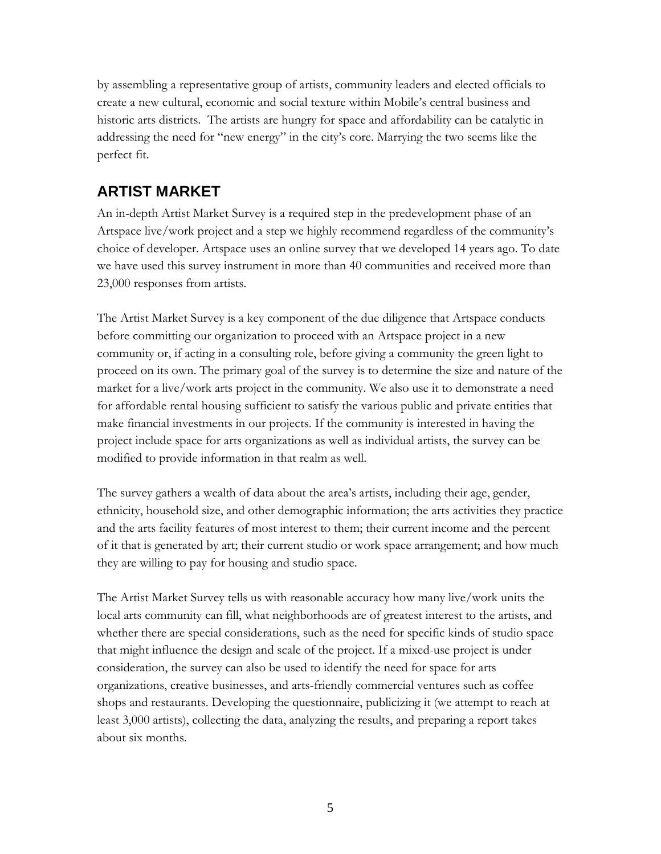by assembling a representative group of artists, community leaders and elected officials to create a new cultural, economic and social texture within Mobile's central business and historic arts districts. The artists are hungry for space and affordability can be catalytic in addressing the need for "new energy" in the city's core. Marrying the two seems like the perfect fit.

## **ARTIST MARKET**

An in-depth Artist Market Survey is a required step in the predevelopment phase of an Artspace live/work project and a step we highly recommend regardless of the community's choice of developer. Artspace uses an online survey that we developed 14 years ago. To date we have used this survey instrument in more than 40 communities and received more than 23,000 responses from artists.

The Artist Market Survey is a key component of the due diligence that Artspace conducts before committing our organization to proceed with an Artspace project in a new community or, if acting in a consulting role, before giving a community the green light to proceed on its own. The primary goal of the survey is to determine the size and nature of the market for a live/work arts project in the community. We also use it to demonstrate a need for affordable rental housing sufficient to satisfy the various public and private entities that make financial investments in our projects. If the community is interested in having the project include space for arts organizations as well as individual artists, the survey can be modified to provide information in that realm as well.

The survey gathers a wealth of data about the area's artists, including their age, gender, ethnicity, household size, and other demographic information; the arts activities they practice and the arts facility features of most interest to them; their current income and the percent of it that is generated by art; their current studio or work space arrangement; and how much they are willing to pay for housing and studio space.

The Artist Market Survey tells us with reasonable accuracy how many live/work units the local arts community can fill, what neighborhoods are of greatest interest to the artists, and whether there are special considerations, such as the need for specific kinds of studio space that might influence the design and scale of the project. If a mixed-use project is under consideration, the survey can also be used to identify the need for space for arts organizations, creative businesses, and arts-friendly commercial ventures such as coffee shops and restaurants. Developing the questionnaire, publicizing it (we attempt to reach at least 3,000 artists), collecting the data, analyzing the results, and preparing a report takes about six months.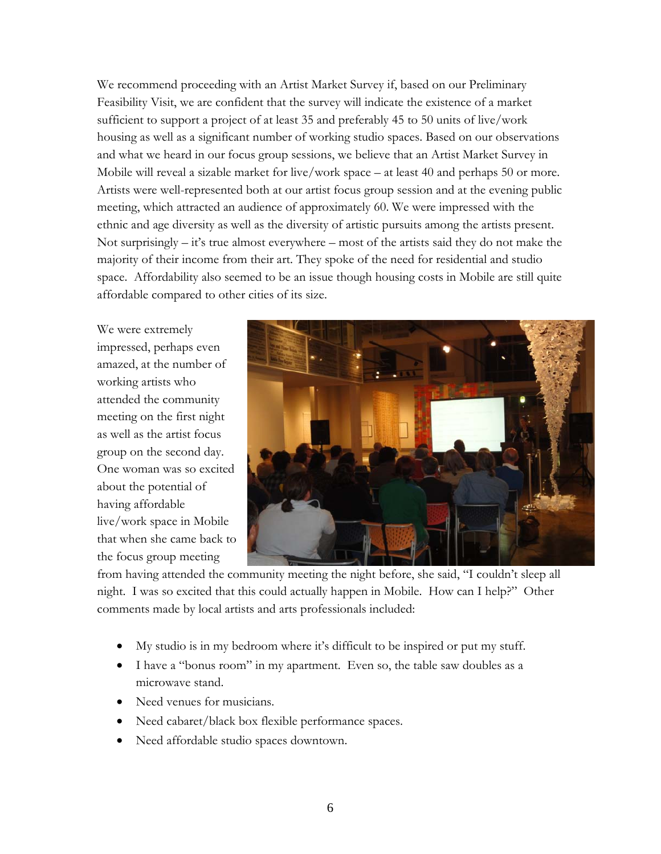We recommend proceeding with an Artist Market Survey if, based on our Preliminary Feasibility Visit, we are confident that the survey will indicate the existence of a market sufficient to support a project of at least 35 and preferably 45 to 50 units of live/work housing as well as a significant number of working studio spaces. Based on our observations and what we heard in our focus group sessions, we believe that an Artist Market Survey in Mobile will reveal a sizable market for live/work space – at least 40 and perhaps 50 or more. Artists were well-represented both at our artist focus group session and at the evening public meeting, which attracted an audience of approximately 60. We were impressed with the ethnic and age diversity as well as the diversity of artistic pursuits among the artists present. Not surprisingly – it's true almost everywhere – most of the artists said they do not make the majority of their income from their art. They spoke of the need for residential and studio space. Affordability also seemed to be an issue though housing costs in Mobile are still quite affordable compared to other cities of its size.

We were extremely impressed, perhaps even amazed, at the number of working artists who attended the community meeting on the first night as well as the artist focus group on the second day. One woman was so excited about the potential of having affordable live/work space in Mobile that when she came back to the focus group meeting



from having attended the community meeting the night before, she said, "I couldn't sleep all night. I was so excited that this could actually happen in Mobile. How can I help?" Other comments made by local artists and arts professionals included:

- My studio is in my bedroom where it's difficult to be inspired or put my stuff.
- I have a "bonus room" in my apartment. Even so, the table saw doubles as a microwave stand.
- Need venues for musicians.
- Need cabaret/black box flexible performance spaces.
- Need affordable studio spaces downtown.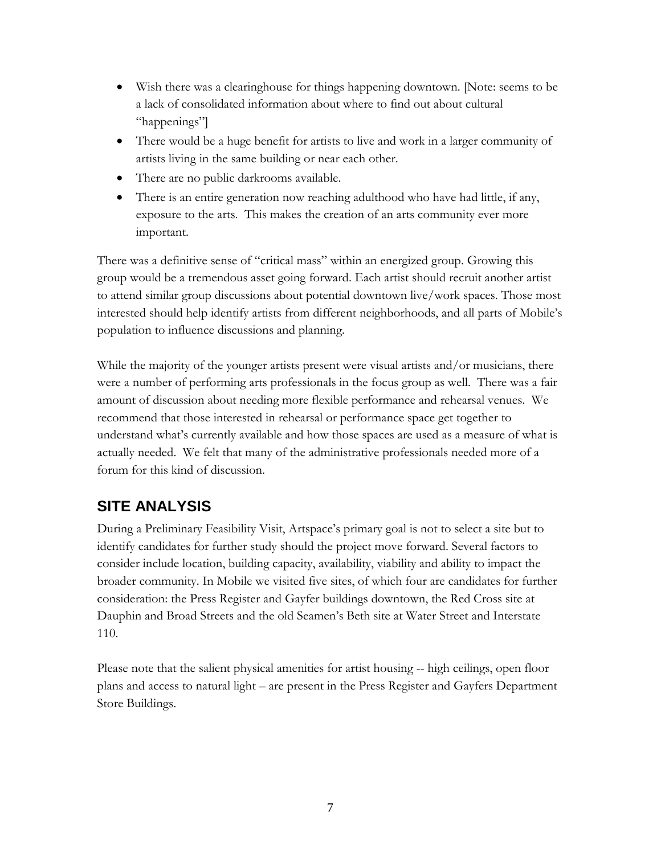- Wish there was a clearinghouse for things happening downtown. [Note: seems to be a lack of consolidated information about where to find out about cultural "happenings"]
- There would be a huge benefit for artists to live and work in a larger community of artists living in the same building or near each other.
- There are no public darkrooms available.
- There is an entire generation now reaching adulthood who have had little, if any, exposure to the arts. This makes the creation of an arts community ever more important.

There was a definitive sense of "critical mass" within an energized group. Growing this group would be a tremendous asset going forward. Each artist should recruit another artist to attend similar group discussions about potential downtown live/work spaces. Those most interested should help identify artists from different neighborhoods, and all parts of Mobile's population to influence discussions and planning.

While the majority of the younger artists present were visual artists and/or musicians, there were a number of performing arts professionals in the focus group as well. There was a fair amount of discussion about needing more flexible performance and rehearsal venues. We recommend that those interested in rehearsal or performance space get together to understand what's currently available and how those spaces are used as a measure of what is actually needed. We felt that many of the administrative professionals needed more of a forum for this kind of discussion.

# **SITE ANALYSIS**

During a Preliminary Feasibility Visit, Artspace's primary goal is not to select a site but to identify candidates for further study should the project move forward. Several factors to consider include location, building capacity, availability, viability and ability to impact the broader community. In Mobile we visited five sites, of which four are candidates for further consideration: the Press Register and Gayfer buildings downtown, the Red Cross site at Dauphin and Broad Streets and the old Seamen's Beth site at Water Street and Interstate 110.

Please note that the salient physical amenities for artist housing -- high ceilings, open floor plans and access to natural light – are present in the Press Register and Gayfers Department Store Buildings.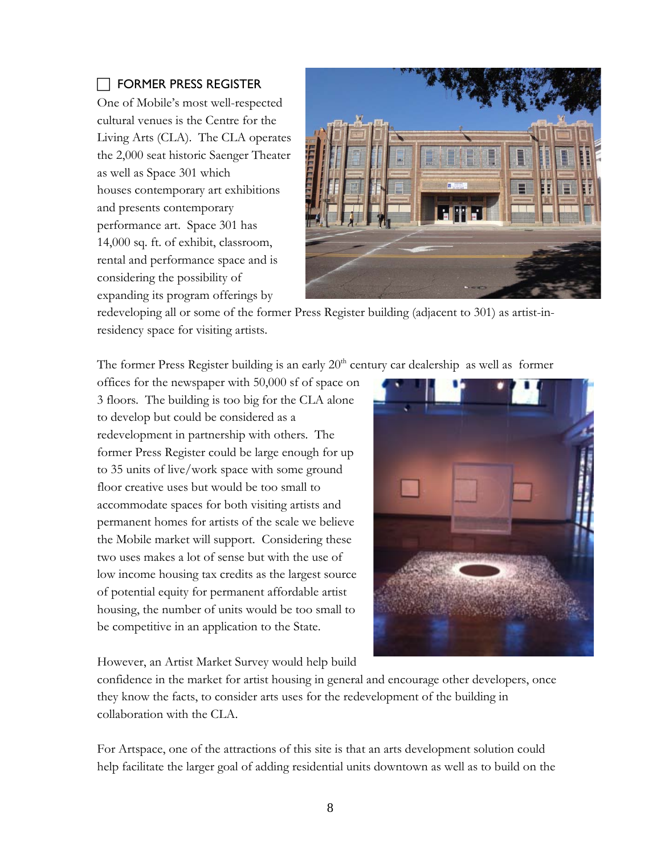### $\Box$  FORMER PRESS REGISTER

One of Mobile's most well-respected cultural venues is the Centre for the Living Arts (CLA). The CLA operates the 2,000 seat historic Saenger Theater as well as Space 301 which houses contemporary art exhibitions and presents contemporary performance art. Space 301 has 14,000 sq. ft. of exhibit, classroom, rental and performance space and is considering the possibility of expanding its program offerings by



redeveloping all or some of the former Press Register building (adjacent to 301) as artist-inresidency space for visiting artists.

The former Press Register building is an early  $20<sup>th</sup>$  century car dealership as well as former

offices for the newspaper with 50,000 sf of space on 3 floors. The building is too big for the CLA alone to develop but could be considered as a redevelopment in partnership with others. The former Press Register could be large enough for up to 35 units of live/work space with some ground floor creative uses but would be too small to accommodate spaces for both visiting artists and permanent homes for artists of the scale we believe the Mobile market will support. Considering these two uses makes a lot of sense but with the use of low income housing tax credits as the largest source of potential equity for permanent affordable artist housing, the number of units would be too small to be competitive in an application to the State.

However, an Artist Market Survey would help build

confidence in the market for artist housing in general and encourage other developers, once they know the facts, to consider arts uses for the redevelopment of the building in collaboration with the CLA.

For Artspace, one of the attractions of this site is that an arts development solution could help facilitate the larger goal of adding residential units downtown as well as to build on the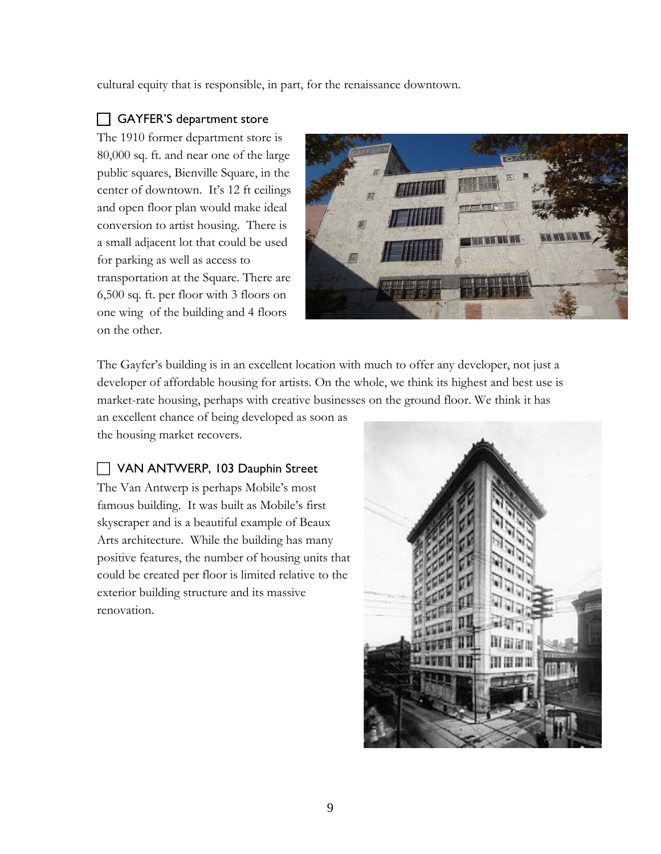cultural equity that is responsible, in part, for the renaissance downtown.

### □ GAYFER'S department store

The 1910 former department store is 80,000 sq. ft. and near one of the large public squares, Bienville Square, in the center of downtown. It's 12 ft ceilings and open floor plan would make ideal conversion to artist housing. There is a small adjacent lot that could be used for parking as well as access to transportation at the Square. There are 6,500 sq. ft. per floor with 3 floors on one wing of the building and 4 floors on the other.



The Gayfer's building is in an excellent location with much to offer any developer, not just a developer of affordable housing for artists. On the whole, we think its highest and best use is market-rate housing, perhaps with creative businesses on the ground floor. We think it has

an excellent chance of being developed as soon as the housing market recovers.

### VAN ANTWERP, 103 Dauphin Street

The Van Antwerp is perhaps Mobile's most famous building. It was built as Mobile's first skyscraper and is a beautiful example of Beaux Arts architecture. While the building has many positive features, the number of housing units that could be created per floor is limited relative to the exterior building structure and its massive renovation.

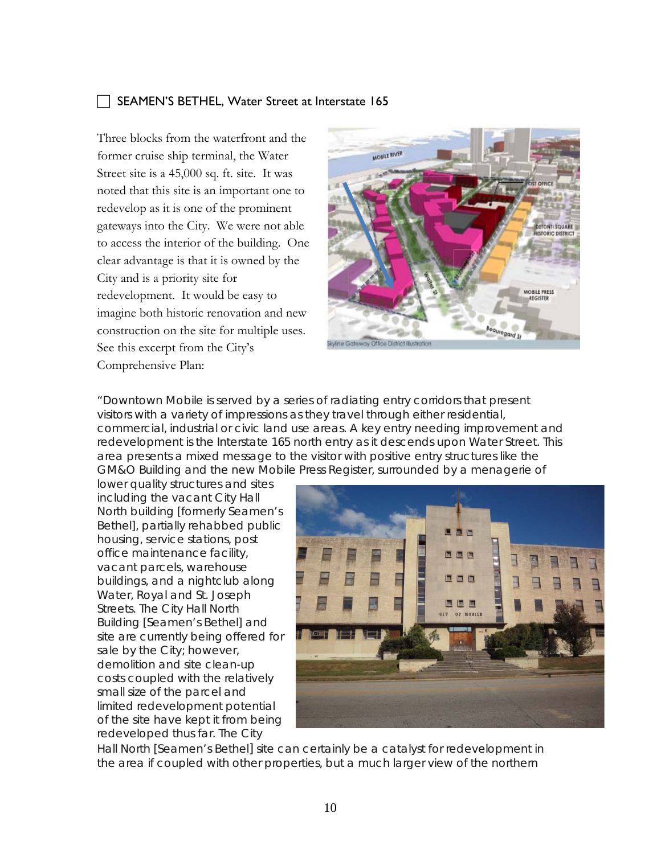### SEAMEN'S BETHEL, Water Street at Interstate 165

Three blocks from the waterfront and the former cruise ship terminal, the Water Street site is a 45,000 sq. ft. site. It was noted that this site is an important one to redevelop as it is one of the prominent gateways into the City. We were not able to access the interior of the building. One clear advantage is that it is owned by the City and is a priority site for redevelopment. It would be easy to imagine both historic renovation and new construction on the site for multiple uses. See this excerpt from the City's Comprehensive Plan:



"Downtown Mobile is served by a series of radiating entry corridors that present visitors with a variety of impressions as they travel through either residential, commercial, industrial or civic land use areas. A key entry needing improvement and redevelopment is the Interstate 165 north entry as it descends upon Water Street. This area presents a mixed message to the visitor with positive entry structures like the GM&O Building and the new Mobile Press Register, surrounded by a menagerie of

lower quality structures and sites including the vacant City Hall North building [formerly Seamen's Bethel], partially rehabbed public housing, service stations, post office maintenance facility, vacant parcels, warehouse buildings, and a nightclub along Water, Royal and St. Joseph Streets. The City Hall North Building [Seamen's Bethel] and site are currently being offered for sale by the City; however, demolition and site clean-up costs coupled with the relatively small size of the parcel and limited redevelopment potential of the site have kept it from being redeveloped thus far. The City



Hall North [Seamen's Bethel] site can certainly be a catalyst for redevelopment in the area if coupled with other properties, but a much larger view of the northern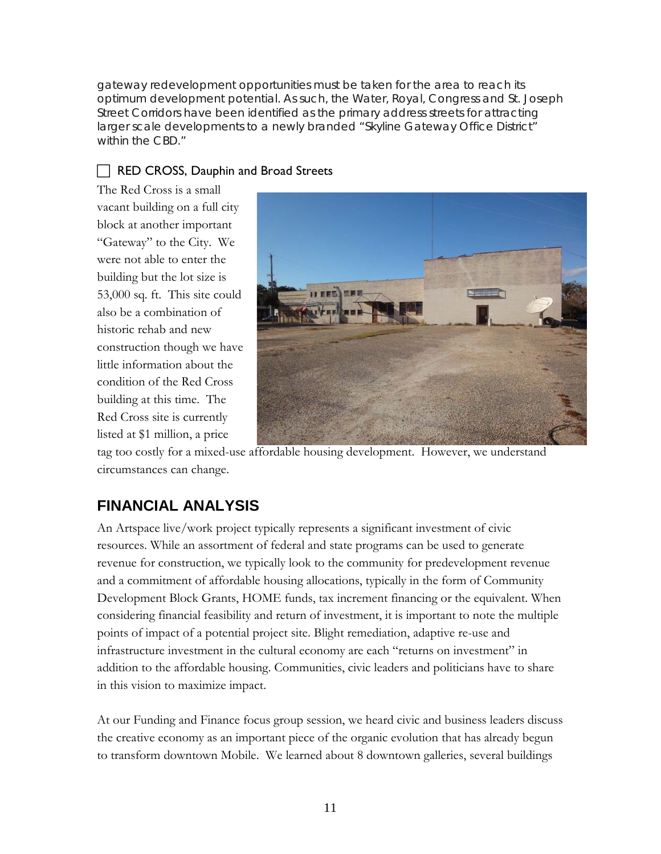gateway redevelopment opportunities must be taken for the area to reach its optimum development potential. As such, the Water, Royal, Congress and St. Joseph Street Corridors have been identified as the primary address streets for attracting larger scale developments to a newly branded "Skyline Gateway Office District" within the CBD."

### RED CROSS, Dauphin and Broad Streets

The Red Cross is a small vacant building on a full city block at another important "Gateway" to the City. We were not able to enter the building but the lot size is 53,000 sq. ft. This site could also be a combination of historic rehab and new construction though we have little information about the condition of the Red Cross building at this time. The Red Cross site is currently listed at \$1 million, a price



tag too costly for a mixed-use affordable housing development. However, we understand circumstances can change.

# **FINANCIAL ANALYSIS**

An Artspace live/work project typically represents a significant investment of civic resources. While an assortment of federal and state programs can be used to generate revenue for construction, we typically look to the community for predevelopment revenue and a commitment of affordable housing allocations, typically in the form of Community Development Block Grants, HOME funds, tax increment financing or the equivalent. When considering financial feasibility and return of investment, it is important to note the multiple points of impact of a potential project site. Blight remediation, adaptive re-use and infrastructure investment in the cultural economy are each "returns on investment" in addition to the affordable housing. Communities, civic leaders and politicians have to share in this vision to maximize impact.

At our Funding and Finance focus group session, we heard civic and business leaders discuss the creative economy as an important piece of the organic evolution that has already begun to transform downtown Mobile. We learned about 8 downtown galleries, several buildings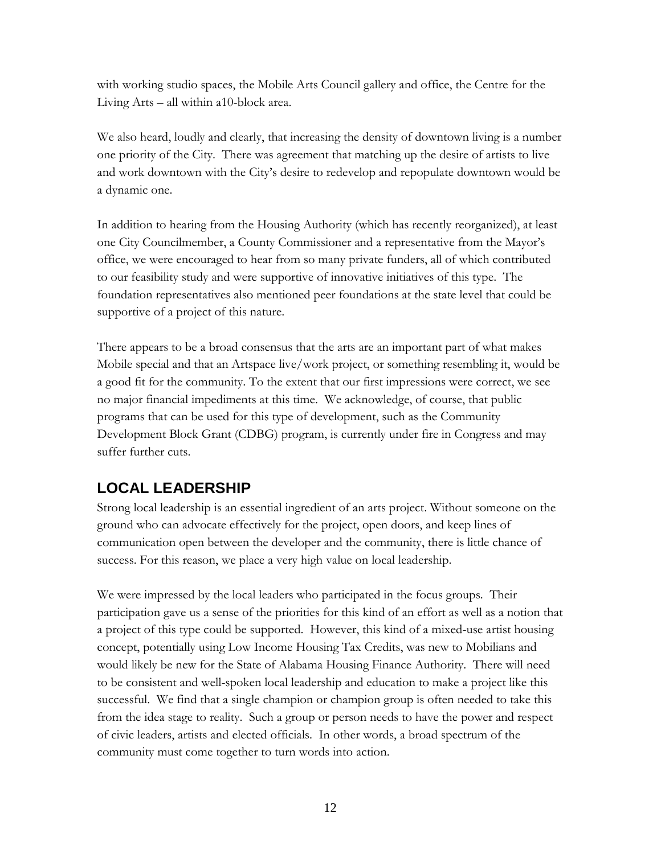with working studio spaces, the Mobile Arts Council gallery and office, the Centre for the Living Arts – all within a10-block area.

We also heard, loudly and clearly, that increasing the density of downtown living is a number one priority of the City. There was agreement that matching up the desire of artists to live and work downtown with the City's desire to redevelop and repopulate downtown would be a dynamic one.

In addition to hearing from the Housing Authority (which has recently reorganized), at least one City Councilmember, a County Commissioner and a representative from the Mayor's office, we were encouraged to hear from so many private funders, all of which contributed to our feasibility study and were supportive of innovative initiatives of this type. The foundation representatives also mentioned peer foundations at the state level that could be supportive of a project of this nature.

There appears to be a broad consensus that the arts are an important part of what makes Mobile special and that an Artspace live/work project, or something resembling it, would be a good fit for the community. To the extent that our first impressions were correct, we see no major financial impediments at this time. We acknowledge, of course, that public programs that can be used for this type of development, such as the Community Development Block Grant (CDBG) program, is currently under fire in Congress and may suffer further cuts.

## **LOCAL LEADERSHIP**

Strong local leadership is an essential ingredient of an arts project. Without someone on the ground who can advocate effectively for the project, open doors, and keep lines of communication open between the developer and the community, there is little chance of success. For this reason, we place a very high value on local leadership.

We were impressed by the local leaders who participated in the focus groups. Their participation gave us a sense of the priorities for this kind of an effort as well as a notion that a project of this type could be supported. However, this kind of a mixed-use artist housing concept, potentially using Low Income Housing Tax Credits, was new to Mobilians and would likely be new for the State of Alabama Housing Finance Authority. There will need to be consistent and well-spoken local leadership and education to make a project like this successful. We find that a single champion or champion group is often needed to take this from the idea stage to reality. Such a group or person needs to have the power and respect of civic leaders, artists and elected officials. In other words, a broad spectrum of the community must come together to turn words into action.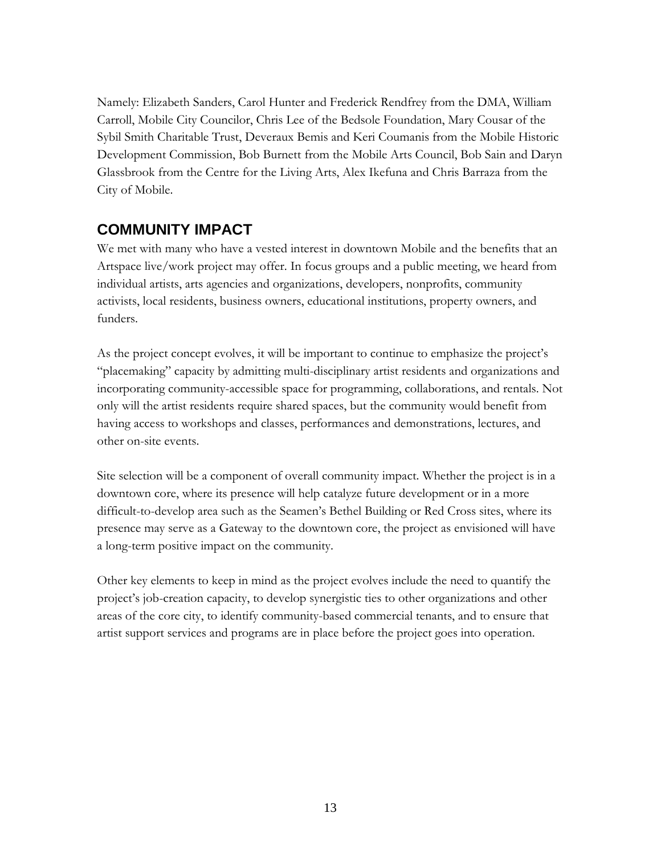Namely: Elizabeth Sanders, Carol Hunter and Frederick Rendfrey from the DMA, William Carroll, Mobile City Councilor, Chris Lee of the Bedsole Foundation, Mary Cousar of the Sybil Smith Charitable Trust, Deveraux Bemis and Keri Coumanis from the Mobile Historic Development Commission, Bob Burnett from the Mobile Arts Council, Bob Sain and Daryn Glassbrook from the Centre for the Living Arts, Alex Ikefuna and Chris Barraza from the City of Mobile.

### **COMMUNITY IMPACT**

We met with many who have a vested interest in downtown Mobile and the benefits that an Artspace live/work project may offer. In focus groups and a public meeting, we heard from individual artists, arts agencies and organizations, developers, nonprofits, community activists, local residents, business owners, educational institutions, property owners, and funders.

As the project concept evolves, it will be important to continue to emphasize the project's "placemaking" capacity by admitting multi-disciplinary artist residents and organizations and incorporating community-accessible space for programming, collaborations, and rentals. Not only will the artist residents require shared spaces, but the community would benefit from having access to workshops and classes, performances and demonstrations, lectures, and other on-site events.

Site selection will be a component of overall community impact. Whether the project is in a downtown core, where its presence will help catalyze future development or in a more difficult-to-develop area such as the Seamen's Bethel Building or Red Cross sites, where its presence may serve as a Gateway to the downtown core, the project as envisioned will have a long-term positive impact on the community.

Other key elements to keep in mind as the project evolves include the need to quantify the project's job-creation capacity, to develop synergistic ties to other organizations and other areas of the core city, to identify community-based commercial tenants, and to ensure that artist support services and programs are in place before the project goes into operation.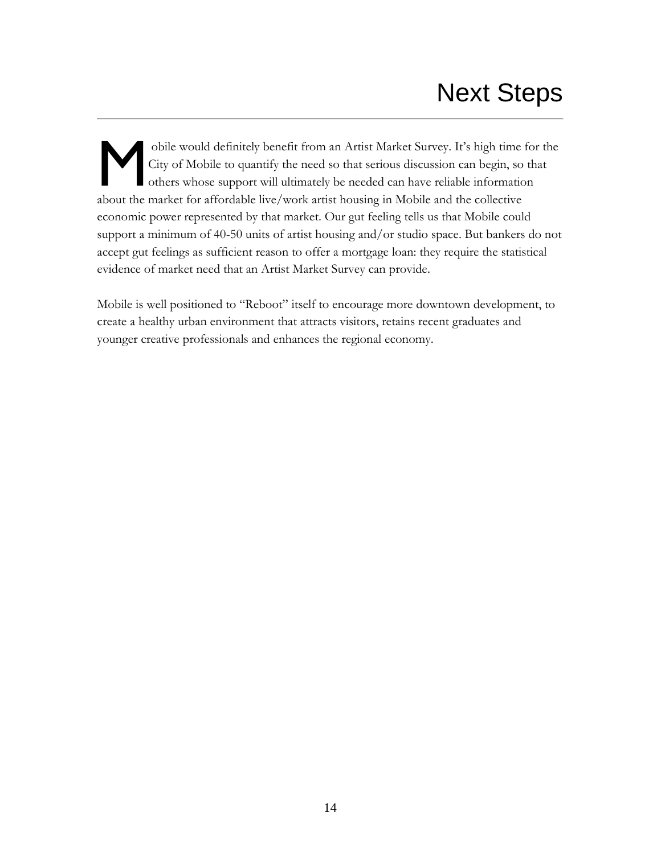obile would definitely benefit from an Artist Market Survey. It's high time for the City of Mobile to quantify the need so that serious discussion can begin, so that others whose support will ultimately be needed can have reliable information bile would definitely benefit from an Artist Market Survey. It's high time<br>City of Mobile to quantify the need so that serious discussion can begin, so<br>others whose support will ultimately be needed can have reliable infor economic power represented by that market. Our gut feeling tells us that Mobile could support a minimum of 40-50 units of artist housing and/or studio space. But bankers do not accept gut feelings as sufficient reason to offer a mortgage loan: they require the statistical evidence of market need that an Artist Market Survey can provide.

Mobile is well positioned to "Reboot" itself to encourage more downtown development, to create a healthy urban environment that attracts visitors, retains recent graduates and younger creative professionals and enhances the regional economy.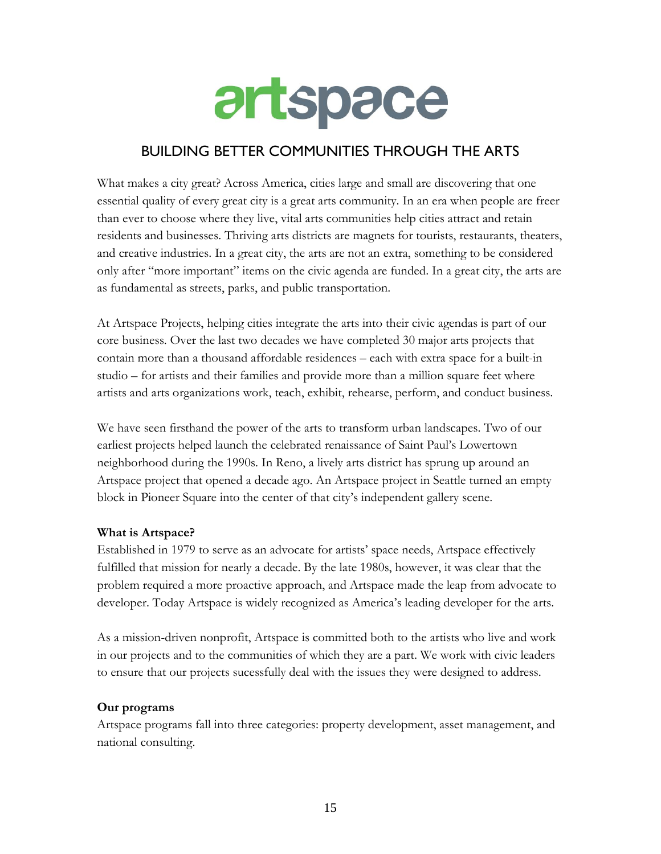

### BUILDING BETTER COMMUNITIES THROUGH THE ARTS

What makes a city great? Across America, cities large and small are discovering that one essential quality of every great city is a great arts community. In an era when people are freer than ever to choose where they live, vital arts communities help cities attract and retain residents and businesses. Thriving arts districts are magnets for tourists, restaurants, theaters, and creative industries. In a great city, the arts are not an extra, something to be considered only after "more important" items on the civic agenda are funded. In a great city, the arts are as fundamental as streets, parks, and public transportation.

At Artspace Projects, helping cities integrate the arts into their civic agendas is part of our core business. Over the last two decades we have completed 30 major arts projects that contain more than a thousand affordable residences – each with extra space for a built-in studio – for artists and their families and provide more than a million square feet where artists and arts organizations work, teach, exhibit, rehearse, perform, and conduct business.

We have seen firsthand the power of the arts to transform urban landscapes. Two of our earliest projects helped launch the celebrated renaissance of Saint Paul's Lowertown neighborhood during the 1990s. In Reno, a lively arts district has sprung up around an Artspace project that opened a decade ago. An Artspace project in Seattle turned an empty block in Pioneer Square into the center of that city's independent gallery scene.

### **What is Artspace?**

Established in 1979 to serve as an advocate for artists' space needs, Artspace effectively fulfilled that mission for nearly a decade. By the late 1980s, however, it was clear that the problem required a more proactive approach, and Artspace made the leap from advocate to developer. Today Artspace is widely recognized as America's leading developer for the arts.

As a mission-driven nonprofit, Artspace is committed both to the artists who live and work in our projects and to the communities of which they are a part. We work with civic leaders to ensure that our projects sucessfully deal with the issues they were designed to address.

#### **Our programs**

Artspace programs fall into three categories: property development, asset management, and national consulting.